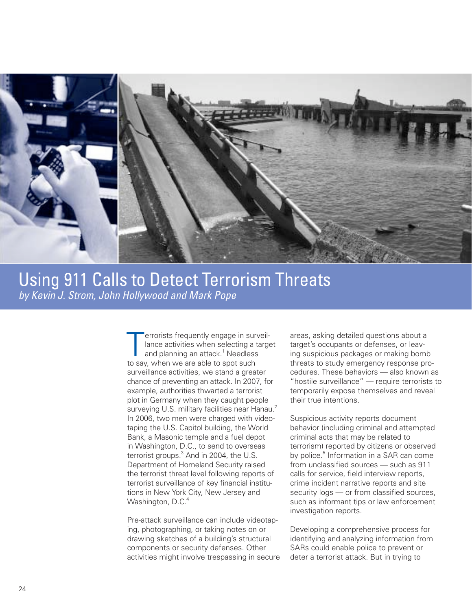

# Using 911 Calls to Detect Terrorism Threats *by Kevin J. Strom, John Hollywood and Mark Pope*

 chance of preventing an attack. In 2007, for in Washington, D.C., to send to overseas Department of Homeland Security raised tions in New York City, New Jersey and Terrorists frequently engage in surveil<br>- lance activities when selecting a targed<br>and planning an attack.<sup>1</sup> Needless lance activities when selecting a target and planning an attack.<sup>1</sup> Needless to say, when we are able to spot such surveillance activities, we stand a greater example, authorities thwarted a terrorist plot in Germany when they caught people surveying U.S. military facilities near Hanau.<sup>2</sup> In 2006, two men were charged with videotaping the U.S. Capitol building, the World Bank, a Masonic temple and a fuel depot terrorist groups.<sup>3</sup> And in 2004, the U.S. the terrorist threat level following reports of terrorist surveillance of key financial institu-Washington, D.C.<sup>4</sup>

Pre-attack surveillance can include videotaping, photographing, or taking notes on or drawing sketches of a building's structural components or security defenses. Other activities might involve trespassing in secure areas, asking detailed questions about a target's occupants or defenses, or leaving suspicious packages or making bomb threats to study emergency response procedures. These behaviors — also known as "hostile surveillance" — require terrorists to temporarily expose themselves and reveal their true intentions.

Suspicious activity reports document behavior (including criminal and attempted criminal acts that may be related to terrorism) reported by citizens or observed by police.<sup>5</sup> Information in a SAR can come from unclassified sources — such as 911 calls for service, field interview reports, crime incident narrative reports and site security logs — or from classified sources, such as informant tips or law enforcement investigation reports.

Developing a comprehensive process for identifying and analyzing information from SARs could enable police to prevent or deter a terrorist attack. But in trying to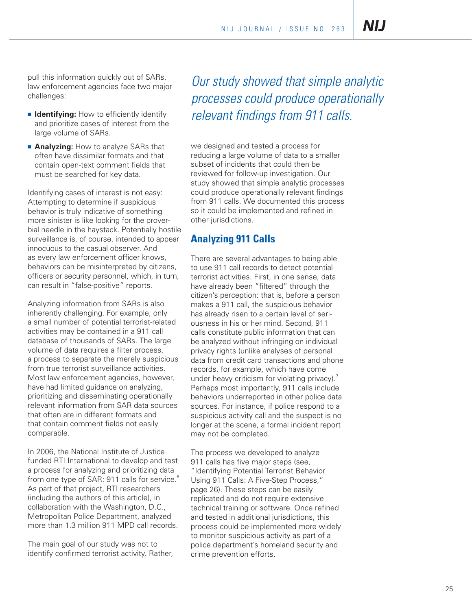**NIJ** 

pull this information quickly out of SARs, law enforcement agencies face two major challenges:

- **E** Identifying: How to efficiently identify and prioritize cases of interest from the large volume of SARs.
- **Analyzing:** How to analyze SARs that often have dissimilar formats and that contain open-text comment fields that must be searched for key data.

 Identifying cases of interest is not easy: Attempting to determine if suspicious behavior is truly indicative of something bial needle in the haystack. Potentially hostile surveillance is, of course, intended to appear innocuous to the casual observer. And as every law enforcement officer knows, behaviors can be misinterpreted by citizens, can result in "false-positive" reports. more sinister is like looking for the proverofficers or security personnel, which, in turn,

Analyzing information from SARs is also inherently challenging. For example, only a small number of potential terrorist-related activities may be contained in a 911 call database of thousands of SARs. The large volume of data requires a filter process, a process to separate the merely suspicious from true terrorist surveillance activities. Most law enforcement agencies, however, have had limited guidance on analyzing, prioritizing and disseminating operationally relevant information from SAR data sources that often are in different formats and that contain comment fields not easily comparable.

from one type of SAR: 911 calls for service.<sup>6</sup> In 2006, the National Institute of Justice funded RTI International to develop and test a process for analyzing and prioritizing data As part of that project, RTI researchers (including the authors of this article), in collaboration with the Washington, D.C., Metropolitan Police Department, analyzed more than 1.3 million 911 MPD call records.

The main goal of our study was not to identify confirmed terrorist activity. Rather,

*Our study showed that simple analytic processes could produce operationally relevant findings from 911 calls.* 

we designed and tested a process for reducing a large volume of data to a smaller subset of incidents that could then be reviewed for follow-up investigation. Our study showed that simple analytic processes could produce operationally relevant findings from 911 calls. We documented this process so it could be implemented and refined in other jurisdictions.

## **Analyzing 911 Calls**

There are several advantages to being able to use 911 call records to detect potential terrorist activities. First, in one sense, data have already been "filtered" through the citizen's perception: that is, before a person makes a 911 call, the suspicious behavior has already risen to a certain level of seriousness in his or her mind. Second, 911 calls constitute public information that can be analyzed without infringing on individual privacy rights (unlike analyses of personal data from credit card transactions and phone records, for example, which have come under heavy criticism for violating privacy). $<sup>7</sup>$ </sup> Perhaps most importantly, 911 calls include behaviors underreported in other police data sources. For instance, if police respond to a suspicious activity call and the suspect is no longer at the scene, a formal incident report may not be completed.

The process we developed to analyze 911 calls has five major steps (see, "Identifying Potential Terrorist Behavior Using 911 Calls: A Five-Step Process," page 26). These steps can be easily replicated and do not require extensive technical training or software. Once refined and tested in additional jurisdictions, this process could be implemented more widely to monitor suspicious activity as part of a police department's homeland security and crime prevention efforts.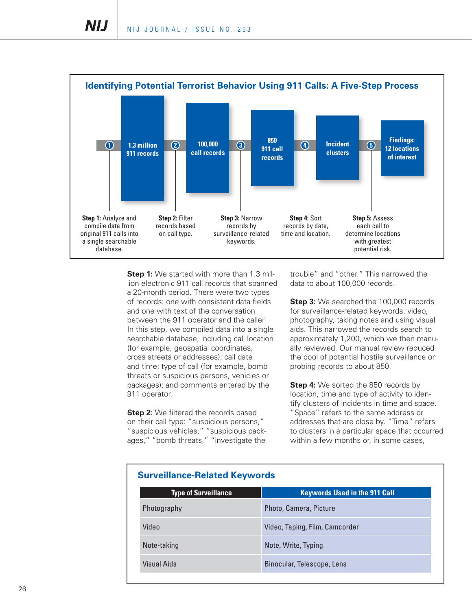

**Step 1:** We started with more than 1.3 million electronic 911 call records that spanned a 20-month period. There were two types of records: one with consistent data fields and one with text of the conversation between the 911 operator and the caller. In this step, we compiled data into a single searchable database, including call location (for example, geospatial coordinates, cross streets or addresses); call date and time; type of call (for example, bomb threats or suspicious persons, vehicles or packages); and comments entered by the 911 operator.

**Step 2:** We filtered the records based on their call type: "suspicious persons," "suspicious vehicles," "suspicious packages," "bomb threats," "investigate the

trouble" and "other." This narrowed the data to about 100,000 records.

**Step 3:** We searched the 100,000 records for surveillance-related keywords: video, photography, taking notes and using visual aids. This narrowed the records search to approximately 1,200, which we then manually reviewed. Our manual review reduced the pool of potential hostile surveillance or probing records to about 850.

**Step 4:** We sorted the 850 records by location, time and type of activity to identify clusters of incidents in time and space. "Space" refers to the same address or addresses that are close by. "Time" refers to clusters in a particular space that occurred within a few months or, in some cases,

| <u>sai vollialise Tiolatsa Ito y IVol as</u> |  |  |  |
|----------------------------------------------|--|--|--|
| <b>Keywords Used in the 911 Call</b>         |  |  |  |
| Photo, Camera, Picture                       |  |  |  |
| Video, Taping, Film, Camcorder               |  |  |  |
| Note, Write, Typing                          |  |  |  |
| Binocular, Telescope, Lens                   |  |  |  |
|                                              |  |  |  |

#### **Surveillance-Related Keywords**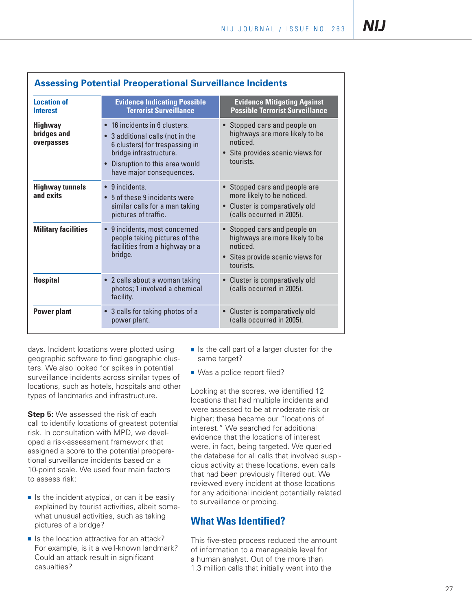| <b>Location of</b><br><b>Interest</b>       | <b>Evidence Indicating Possible</b><br><b>Terrorist Surveillance</b>                                                                                                                         | <b>Evidence Mitigating Against</b><br><b>Possible Terrorist Surveillance</b>                                                          |
|---------------------------------------------|----------------------------------------------------------------------------------------------------------------------------------------------------------------------------------------------|---------------------------------------------------------------------------------------------------------------------------------------|
| <b>Highway</b><br>bridges and<br>overpasses | • 16 incidents in 6 clusters.<br>• 3 additional calls (not in the<br>6 clusters) for trespassing in<br>bridge infrastructure.<br>• Disruption to this area would<br>have major consequences. | • Stopped cars and people on<br>highways are more likely to be<br>hepiton<br>• Site provides scenic views for<br>tourists.            |
| <b>Highway tunnels</b><br>and exits         | $\bullet$ 9 incidents.<br>5 of these 9 incidents were<br>similar calls for a man taking<br>pictures of traffic.                                                                              | • Stopped cars and people are<br>more likely to be noticed.<br>Cluster is comparatively old<br>$\bullet$<br>(calls occurred in 2005). |
| <b>Military facilities</b>                  | • 9 incidents, most concerned<br>people taking pictures of the<br>facilities from a highway or a<br>bridge.                                                                                  | • Stopped cars and people on<br>highways are more likely to be<br>noticed.<br>• Sites provide scenic views for<br>tourists.           |
| <b>Hospital</b>                             | • 2 calls about a woman taking<br>photos; 1 involved a chemical<br>facility.                                                                                                                 | • Cluster is comparatively old<br>(calls occurred in 2005).                                                                           |
| <b>Power plant</b>                          | • 3 calls for taking photos of a<br>power plant.                                                                                                                                             | • Cluster is comparatively old<br>(calls occurred in 2005).                                                                           |

days. Incident locations were plotted using geographic software to find geographic clusters. We also looked for spikes in potential surveillance incidents across similar types of locations, such as hotels, hospitals and other types of landmarks and infrastructure.

**Step 5:** We assessed the risk of each call to identify locations of greatest potential risk. In consultation with MPD, we developed a risk-assessment framework that assigned a score to the potential preoperational surveillance incidents based on a 10-point scale. We used four main factors to assess risk:

- $\blacksquare$  Is the incident atypical, or can it be easily explained by tourist activities, albeit somewhat unusual activities, such as taking pictures of a bridge?
- $\blacksquare$  Is the location attractive for an attack? For example, is it a well-known landmark? Could an attack result in significant casualties?
- same target?
- Was a police report filed?

Is the call part of a larger cluster for the<br>
same target?<br>
Is the same target?<br>
Is the same target?<br>
Is the same target?<br>
Is the same target?<br>
Is the same target?<br>
Is the corresponding at the scores, we identified 12<br>
Ica Looking at the scores, we identified 12 locations that had multiple incidents and were assessed to be at moderate risk or higher; these became our "locations of interest." We searched for additional evidence that the locations of interest were, in fact, being targeted. We queried the database for all calls that involved suspicious activity at these locations, even calls that had been previously filtered out. We reviewed every incident at those locations for any additional incident potentially related to surveillance or probing.

## **What Was identified?**

This five-step process reduced the amount of information to a manageable level for a human analyst. Out of the more than 1.3 million calls that initially went into the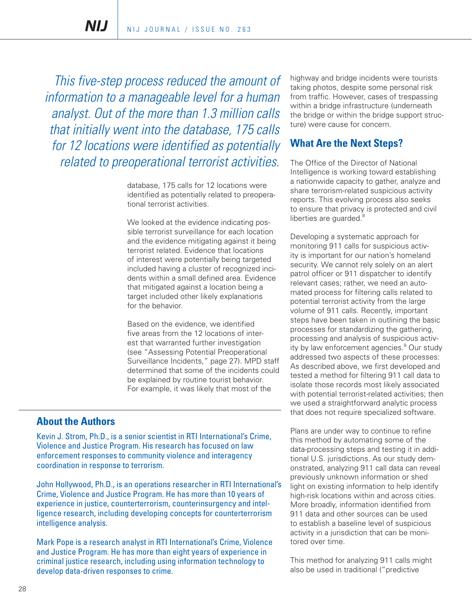NIJ

*This five-step process reduced the amount of information to a manageable level for a human analyst. Out of the more than 1.3 million calls that initially went into the database, 175 calls for 12 locations were identified as potentially related to preoperational terrorist activities.* 

> database, 175 calls for 12 locations were identified as potentially related to preoperational terrorist activities.

> We looked at the evidence indicating possible terrorist surveillance for each location and the evidence mitigating against it being terrorist related. Evidence that locations of interest were potentially being targeted included having a cluster of recognized incidents within a small defined area. Evidence that mitigated against a location being a target included other likely explanations for the behavior.

Based on the evidence, we identified five areas from the 12 locations of interest that warranted further investigation (see "Assessing Potential Preoperational Surveillance Incidents," page 27). MPD staff determined that some of the incidents could be explained by routine tourist behavior. For example, it was likely that most of the

#### **About the Authors**

Kevin J. Strom, Ph.D., is a senior scientist in RTI International's Crime, Violence and Justice Program. His research has focused on law enforcement responses to community violence and interagency coordination in response to terrorism.

John Hollywood, Ph.D., is an operations researcher in RTI International's Crime, Violence and Justice Program. He has more than 10 years of experience in justice, counterterrorism, counterinsurgency and intelligence research, including developing concepts for counterterrorism intelligence analysis.

Mark Pope is a research analyst in RTI International's Crime, Violence and Justice Program. He has more than eight years of experience in criminal justice research, including using information technology to develop data-driven responses to crime.

highway and bridge incidents were tourists taking photos, despite some personal risk from traffic. However, cases of trespassing within a bridge infrastructure (underneath the bridge or within the bridge support structure) were cause for concern.

## **What Are the Next Steps?**

The Office of the Director of National Intelligence is working toward establishing a nationwide capacity to gather, analyze and share terrorism-related suspicious activity reports. This evolving process also seeks to ensure that privacy is protected and civil liberties are guarded.<sup>8</sup>

Developing a systematic approach for monitoring 911 calls for suspicious activity is important for our nation's homeland security. We cannot rely solely on an alert patrol officer or 911 dispatcher to identify relevant cases; rather, we need an automated process for filtering calls related to potential terrorist activity from the large volume of 911 calls. Recently, important steps have been taken in outlining the basic processes for standardizing the gathering, processing and analysis of suspicious activity by law enforcement agencies.<sup>9</sup> Our study addressed two aspects of these processes: As described above, we first developed and tested a method for filtering 911 call data to isolate those records most likely associated with potential terrorist-related activities; then we used a straightforward analytic process that does not require specialized software.

Plans are under way to continue to refine this method by automating some of the data-processing steps and testing it in additional U.S. jurisdictions. As our study demonstrated, analyzing 911 call data can reveal previously unknown information or shed light on existing information to help identify high-risk locations within and across cities. More broadly, information identified from 911 data and other sources can be used to establish a baseline level of suspicious activity in a jurisdiction that can be monitored over time.

This method for analyzing 911 calls might also be used in traditional ("predictive